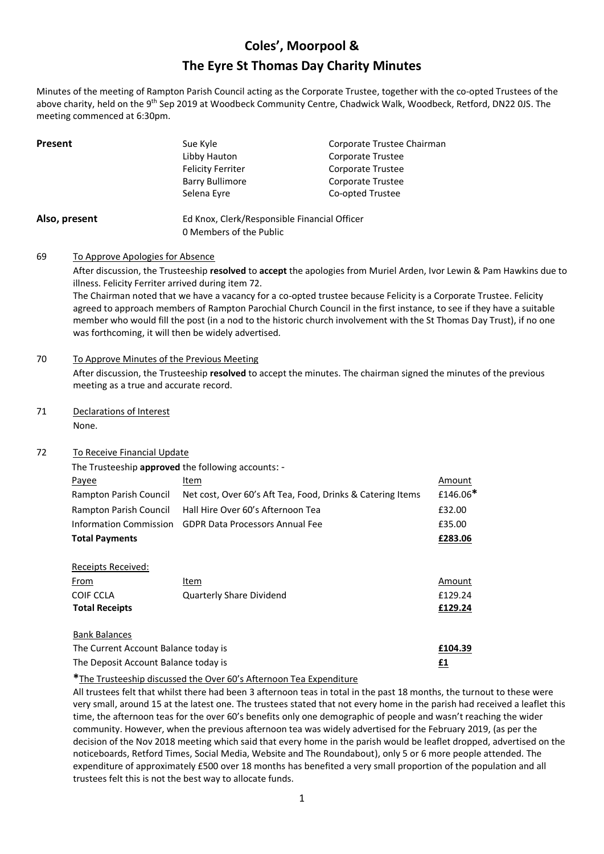# **Coles', Moorpool & The Eyre St Thomas Day Charity Minutes**

Minutes of the meeting of Rampton Parish Council acting as the Corporate Trustee, together with the co-opted Trustees of the above charity, held on the 9<sup>th</sup> Sep 2019 at Woodbeck Community Centre, Chadwick Walk, Woodbeck, Retford, DN22 0JS. The meeting commenced at 6:30pm.

| <b>Present</b> | Sue Kyle                                     | Corporate Trustee Chairman |
|----------------|----------------------------------------------|----------------------------|
|                | Libby Hauton                                 | Corporate Trustee          |
|                | <b>Felicity Ferriter</b>                     | Corporate Trustee          |
|                | Barry Bullimore                              | Corporate Trustee          |
|                | Selena Eyre                                  | Co-opted Trustee           |
| Also, present  | Ed Knox, Clerk/Responsible Financial Officer |                            |

0 Members of the Public

69 To Approve Apologies for Absence

After discussion, the Trusteeship **resolved** to **accept** the apologies from Muriel Arden, Ivor Lewin & Pam Hawkins due to illness. Felicity Ferriter arrived during item 72.

The Chairman noted that we have a vacancy for a co-opted trustee because Felicity is a Corporate Trustee. Felicity agreed to approach members of Rampton Parochial Church Council in the first instance, to see if they have a suitable member who would fill the post (in a nod to the historic church involvement with the St Thomas Day Trust), if no one was forthcoming, it will then be widely advertised.

#### 70 To Approve Minutes of the Previous Meeting

After discussion, the Trusteeship **resolved** to accept the minutes. The chairman signed the minutes of the previous meeting as a true and accurate record.

71 Declarations of Interest

None.

## 72 To Receive Financial Update

|                        | The Trusteeship approved the following accounts: -         |          |
|------------------------|------------------------------------------------------------|----------|
| Payee                  | Item                                                       | Amount   |
| Rampton Parish Council | Net cost, Over 60's Aft Tea, Food, Drinks & Catering Items | £146.06* |
| Rampton Parish Council | Hall Hire Over 60's Afternoon Tea                          | £32.00   |
|                        | Information Commission GDPR Data Processors Annual Fee     | £35.00   |
| <b>Total Payments</b>  |                                                            | £283.06  |
|                        |                                                            |          |

| Receipts Received:    |                          |         |
|-----------------------|--------------------------|---------|
| <u>From</u>           | Item                     | Amount  |
| COIF CCLA             | Quarterly Share Dividend | £129.24 |
| <b>Total Receipts</b> |                          | £129.24 |
|                       |                          |         |

Bank Balances

| The Current Account Balance today is | £104.39 |
|--------------------------------------|---------|
| The Deposit Account Balance today is |         |

## **\***The Trusteeship discussed the Over 60's Afternoon Tea Expenditure

All trustees felt that whilst there had been 3 afternoon teas in total in the past 18 months, the turnout to these were very small, around 15 at the latest one. The trustees stated that not every home in the parish had received a leaflet this time, the afternoon teas for the over 60's benefits only one demographic of people and wasn't reaching the wider community. However, when the previous afternoon tea was widely advertised for the February 2019, (as per the decision of the Nov 2018 meeting which said that every home in the parish would be leaflet dropped, advertised on the noticeboards, Retford Times, Social Media, Website and The Roundabout), only 5 or 6 more people attended. The expenditure of approximately £500 over 18 months has benefited a very small proportion of the population and all trustees felt this is not the best way to allocate funds.